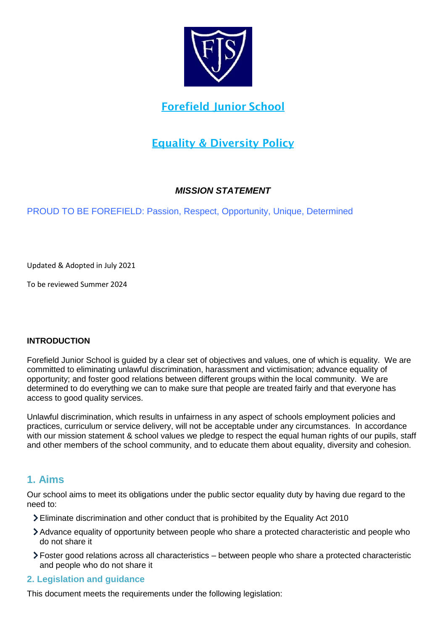

## **Forefield Junior School**

## **Equality & Diversity Policy**

## *MISSION STATEMENT*

PROUD TO BE FOREFIELD: Passion, Respect, Opportunity, Unique, Determined

Updated & Adopted in July 2021

To be reviewed Summer 2024

#### **INTRODUCTION**

Forefield Junior School is guided by a clear set of objectives and values, one of which is equality. We are committed to eliminating unlawful discrimination, harassment and victimisation; advance equality of opportunity; and foster good relations between different groups within the local community. We are determined to do everything we can to make sure that people are treated fairly and that everyone has access to good quality services.

Unlawful discrimination, which results in unfairness in any aspect of schools employment policies and practices, curriculum or service delivery, will not be acceptable under any circumstances. In accordance with our mission statement & school values we pledge to respect the equal human rights of our pupils, staff and other members of the school community, and to educate them about equality, diversity and cohesion.

## **1. Aims**

Our school aims to meet its obligations under the public sector equality duty by having due regard to the need to:

- Eliminate discrimination and other conduct that is prohibited by the Equality Act 2010
- Advance equality of opportunity between people who share a protected characteristic and people who do not share it
- Foster good relations across all characteristics between people who share a protected characteristic and people who do not share it

## **2. Legislation and guidance**

This document meets the requirements under the following legislation: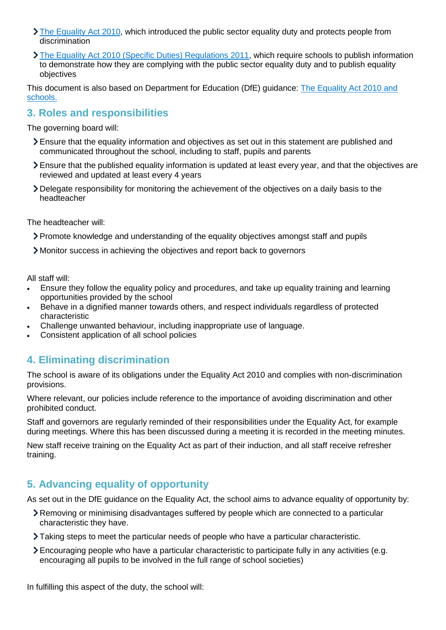- $\sum$  [The Equality Act 2010,](http://www.legislation.gov.uk/ukpga/2010/15/contents) which introduced the public sector equality duty and protects people from discrimination
- [The Equality Act 2010 \(Specific Duties\) Regulations 2011,](http://www.legislation.gov.uk/uksi/2011/2260/contents/made) which require schools to publish information to demonstrate how they are complying with the public sector equality duty and to publish equality objectives

This document is also based on Department for Education (DfE) guidance: [The Equality Act 2010 and](https://www.gov.uk/government/publications/equality-act-2010-advice-for-schools)  [schools.](https://www.gov.uk/government/publications/equality-act-2010-advice-for-schools) 

## **3. Roles and responsibilities**

The governing board will:

- Ensure that the equality information and objectives as set out in this statement are published and communicated throughout the school, including to staff, pupils and parents
- Ensure that the published equality information is updated at least every year, and that the objectives are reviewed and updated at least every 4 years
- Delegate responsibility for monitoring the achievement of the objectives on a daily basis to the headteacher

The headteacher will:

- Promote knowledge and understanding of the equality objectives amongst staff and pupils
- Monitor success in achieving the objectives and report back to governors

All staff will:

- Ensure they follow the equality policy and procedures, and take up equality training and learning opportunities provided by the school
- Behave in a dignified manner towards others, and respect individuals regardless of protected characteristic
- Challenge unwanted behaviour, including inappropriate use of language.
- Consistent application of all school policies

## **4. Eliminating discrimination**

The school is aware of its obligations under the Equality Act 2010 and complies with non-discrimination provisions.

Where relevant, our policies include reference to the importance of avoiding discrimination and other prohibited conduct.

Staff and governors are regularly reminded of their responsibilities under the Equality Act, for example during meetings. Where this has been discussed during a meeting it is recorded in the meeting minutes.

New staff receive training on the Equality Act as part of their induction, and all staff receive refresher training.

## **5. Advancing equality of opportunity**

As set out in the DfE guidance on the Equality Act, the school aims to advance equality of opportunity by:

- Removing or minimising disadvantages suffered by people which are connected to a particular characteristic they have.
- Taking steps to meet the particular needs of people who have a particular characteristic.
- Encouraging people who have a particular characteristic to participate fully in any activities (e.g. encouraging all pupils to be involved in the full range of school societies)

In fulfilling this aspect of the duty, the school will: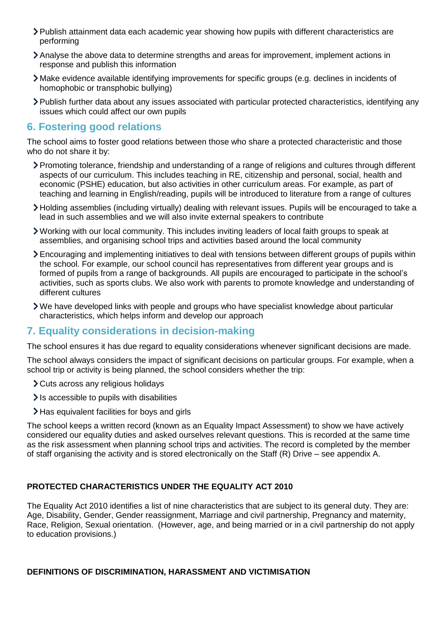- Publish attainment data each academic year showing how pupils with different characteristics are performing
- Analyse the above data to determine strengths and areas for improvement, implement actions in response and publish this information
- Make evidence available identifying improvements for specific groups (e.g. declines in incidents of homophobic or transphobic bullying)
- Publish further data about any issues associated with particular protected characteristics, identifying any issues which could affect our own pupils

### **6. Fostering good relations**

The school aims to foster good relations between those who share a protected characteristic and those who do not share it by:

- Promoting tolerance, friendship and understanding of a range of religions and cultures through different aspects of our curriculum. This includes teaching in RE, citizenship and personal, social, health and economic (PSHE) education, but also activities in other curriculum areas. For example, as part of teaching and learning in English/reading, pupils will be introduced to literature from a range of cultures
- Holding assemblies (including virtually) dealing with relevant issues. Pupils will be encouraged to take a lead in such assemblies and we will also invite external speakers to contribute
- Working with our local community. This includes inviting leaders of local faith groups to speak at assemblies, and organising school trips and activities based around the local community
- Encouraging and implementing initiatives to deal with tensions between different groups of pupils within the school. For example, our school council has representatives from different year groups and is formed of pupils from a range of backgrounds. All pupils are encouraged to participate in the school's activities, such as sports clubs. We also work with parents to promote knowledge and understanding of different cultures
- $\geq$  We have developed links with people and groups who have specialist knowledge about particular characteristics, which helps inform and develop our approach

## **7. Equality considerations in decision-making**

The school ensures it has due regard to equality considerations whenever significant decisions are made.

The school always considers the impact of significant decisions on particular groups. For example, when a school trip or activity is being planned, the school considers whether the trip:

- Cuts across any religious holidays
- $\ge$  Is accessible to pupils with disabilities
- Has equivalent facilities for boys and girls

The school keeps a written record (known as an Equality Impact Assessment) to show we have actively considered our equality duties and asked ourselves relevant questions. This is recorded at the same time as the risk assessment when planning school trips and activities. The record is completed by the member of staff organising the activity and is stored electronically on the Staff (R) Drive – see appendix A.

#### **PROTECTED CHARACTERISTICS UNDER THE EQUALITY ACT 2010**

The Equality Act 2010 identifies a list of nine characteristics that are subject to its general duty. They are: Age, Disability, Gender, Gender reassignment, Marriage and civil partnership, Pregnancy and maternity, Race, Religion, Sexual orientation. (However, age, and being married or in a civil partnership do not apply to education provisions.)

#### **DEFINITIONS OF DISCRIMINATION, HARASSMENT AND VICTIMISATION**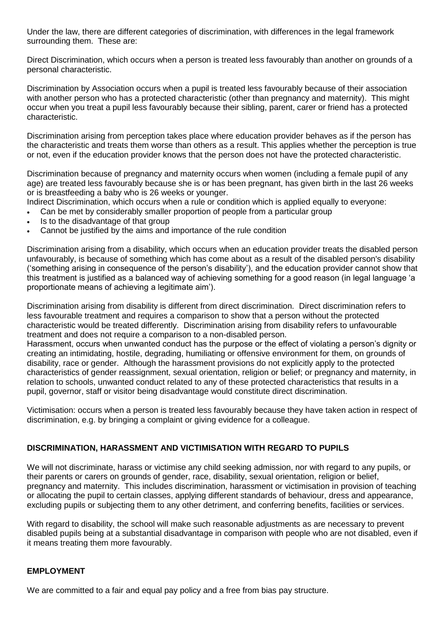Under the law, there are different categories of discrimination, with differences in the legal framework surrounding them. These are:

Direct Discrimination, which occurs when a person is treated less favourably than another on grounds of a personal characteristic.

Discrimination by Association occurs when a pupil is treated less favourably because of their association with another person who has a protected characteristic (other than pregnancy and maternity). This might occur when you treat a pupil less favourably because their sibling, parent, carer or friend has a protected characteristic.

Discrimination arising from perception takes place where education provider behaves as if the person has the characteristic and treats them worse than others as a result. This applies whether the perception is true or not, even if the education provider knows that the person does not have the protected characteristic.

Discrimination because of pregnancy and maternity occurs when women (including a female pupil of any age) are treated less favourably because she is or has been pregnant, has given birth in the last 26 weeks or is breastfeeding a baby who is 26 weeks or younger.

Indirect Discrimination, which occurs when a rule or condition which is applied equally to everyone:

- Can be met by considerably smaller proportion of people from a particular group
- Is to the disadvantage of that group
- Cannot be justified by the aims and importance of the rule condition

Discrimination arising from a disability, which occurs when an education provider treats the disabled person unfavourably, is because of something which has come about as a result of the disabled person's disability ('something arising in consequence of the person's disability'), and the education provider cannot show that this treatment is justified as a balanced way of achieving something for a good reason (in legal language 'a proportionate means of achieving a legitimate aim').

Discrimination arising from disability is different from direct discrimination. Direct discrimination refers to less favourable treatment and requires a comparison to show that a person without the protected characteristic would be treated differently. Discrimination arising from disability refers to unfavourable treatment and does not require a comparison to a non-disabled person.

Harassment, occurs when unwanted conduct has the purpose or the effect of violating a person's dignity or creating an intimidating, hostile, degrading, humiliating or offensive environment for them, on grounds of disability, race or gender. Although the harassment provisions do not explicitly apply to the protected characteristics of gender reassignment, sexual orientation, religion or belief; or pregnancy and maternity, in relation to schools, unwanted conduct related to any of these protected characteristics that results in a pupil, governor, staff or visitor being disadvantage would constitute direct discrimination.

Victimisation: occurs when a person is treated less favourably because they have taken action in respect of discrimination, e.g. by bringing a complaint or giving evidence for a colleague.

#### **DISCRIMINATION, HARASSMENT AND VICTIMISATION WITH REGARD TO PUPILS**

We will not discriminate, harass or victimise any child seeking admission, nor with regard to any pupils, or their parents or carers on grounds of gender, race, disability, sexual orientation, religion or belief, pregnancy and maternity. This includes discrimination, harassment or victimisation in provision of teaching or allocating the pupil to certain classes, applying different standards of behaviour, dress and appearance, excluding pupils or subjecting them to any other detriment, and conferring benefits, facilities or services.

With regard to disability, the school will make such reasonable adjustments as are necessary to prevent disabled pupils being at a substantial disadvantage in comparison with people who are not disabled, even if it means treating them more favourably.

#### **EMPLOYMENT**

We are committed to a fair and equal pay policy and a free from bias pay structure.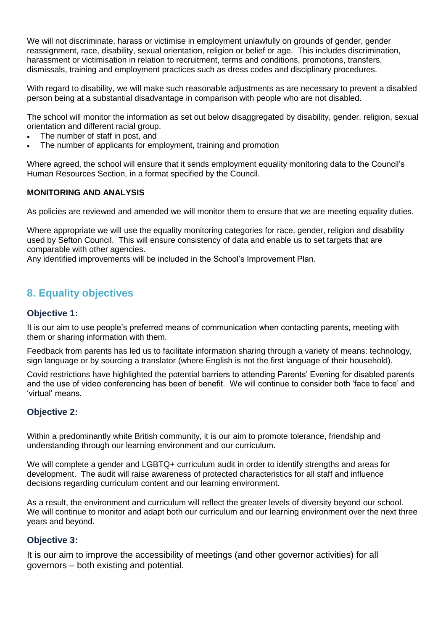We will not discriminate, harass or victimise in employment unlawfully on grounds of gender, gender reassignment, race, disability, sexual orientation, religion or belief or age. This includes discrimination, harassment or victimisation in relation to recruitment, terms and conditions, promotions, transfers, dismissals, training and employment practices such as dress codes and disciplinary procedures.

With regard to disability, we will make such reasonable adjustments as are necessary to prevent a disabled person being at a substantial disadvantage in comparison with people who are not disabled.

The school will monitor the information as set out below disaggregated by disability, gender, religion, sexual orientation and different racial group.

- The number of staff in post, and
- The number of applicants for employment, training and promotion

Where agreed, the school will ensure that it sends employment equality monitoring data to the Council's Human Resources Section, in a format specified by the Council.

#### **MONITORING AND ANALYSIS**

As policies are reviewed and amended we will monitor them to ensure that we are meeting equality duties.

Where appropriate we will use the equality monitoring categories for race, gender, religion and disability used by Sefton Council. This will ensure consistency of data and enable us to set targets that are comparable with other agencies.

Any identified improvements will be included in the School's Improvement Plan.

## **8. Equality objectives**

#### **Objective 1:**

It is our aim to use people's preferred means of communication when contacting parents, meeting with them or sharing information with them.

Feedback from parents has led us to facilitate information sharing through a variety of means: technology, sign language or by sourcing a translator (where English is not the first language of their household).

Covid restrictions have highlighted the potential barriers to attending Parents' Evening for disabled parents and the use of video conferencing has been of benefit. We will continue to consider both 'face to face' and 'virtual' means.

#### **Objective 2:**

Within a predominantly white British community, it is our aim to promote tolerance, friendship and understanding through our learning environment and our curriculum.

We will complete a gender and LGBTQ+ curriculum audit in order to identify strengths and areas for development. The audit will raise awareness of protected characteristics for all staff and influence decisions regarding curriculum content and our learning environment.

As a result, the environment and curriculum will reflect the greater levels of diversity beyond our school. We will continue to monitor and adapt both our curriculum and our learning environment over the next three years and beyond.

#### **Objective 3:**

It is our aim to improve the accessibility of meetings (and other governor activities) for all governors – both existing and potential.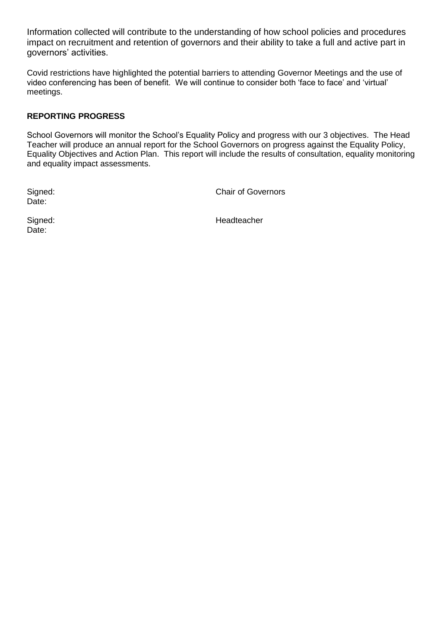Information collected will contribute to the understanding of how school policies and procedures impact on recruitment and retention of governors and their ability to take a full and active part in governors' activities.

Covid restrictions have highlighted the potential barriers to attending Governor Meetings and the use of video conferencing has been of benefit. We will continue to consider both 'face to face' and 'virtual' meetings.

#### **REPORTING PROGRESS**

School Governors will monitor the School's Equality Policy and progress with our 3 objectives. The Head Teacher will produce an annual report for the School Governors on progress against the Equality Policy, Equality Objectives and Action Plan. This report will include the results of consultation, equality monitoring and equality impact assessments.

Date:

Signed: Chair of Governors

Date:

Signed: **Headteacher** Headteacher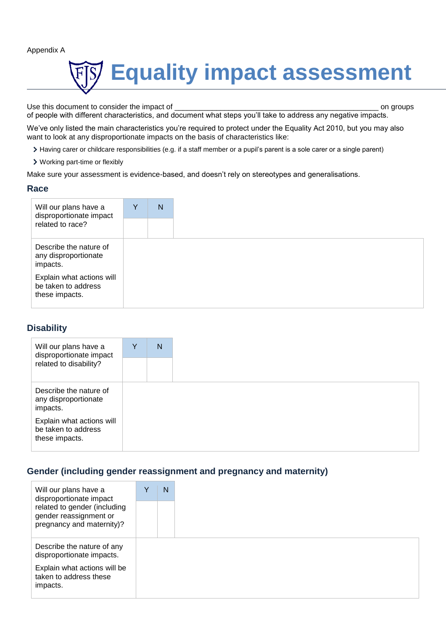Appendix A



Use this document to consider the impact of \_\_\_\_\_\_\_\_\_\_\_\_\_\_\_\_\_\_\_\_\_\_\_\_\_\_\_\_\_\_\_\_\_\_\_\_\_\_\_\_\_\_\_\_\_\_\_\_\_ on groups of people with different characteristics, and document what steps you'll take to address any negative impacts.

We've only listed the main characteristics you're required to protect under the Equality Act 2010, but you may also want to look at any disproportionate impacts on the basis of characteristics like:

- Having carer or childcare responsibilities (e.g. if a staff member or a pupil's parent is a sole carer or a single parent)
- Working part-time or flexibly

Make sure your assessment is evidence-based, and doesn't rely on stereotypes and generalisations.

#### **Race**

| Will our plans have a<br>disproportionate impact<br>related to race? | Y | N |
|----------------------------------------------------------------------|---|---|
|                                                                      |   |   |
| Describe the nature of<br>any disproportionate<br>impacts.           |   |   |
| Explain what actions will<br>be taken to address<br>these impacts.   |   |   |

#### **Disability**

| Will our plans have a<br>disproportionate impact           | Y | N |
|------------------------------------------------------------|---|---|
| related to disability?                                     |   |   |
| Describe the nature of<br>any disproportionate<br>impacts. |   |   |
| Explain what actions will<br>be taken to address           |   |   |

#### **Gender (including gender reassignment and pregnancy and maternity)**

| Will our plans have a<br>disproportionate impact                                    | Y | N |
|-------------------------------------------------------------------------------------|---|---|
| related to gender (including<br>gender reassignment or<br>pregnancy and maternity)? |   |   |
| Describe the nature of any<br>disproportionate impacts.                             |   |   |
| Explain what actions will be<br>taken to address these<br>impacts.                  |   |   |